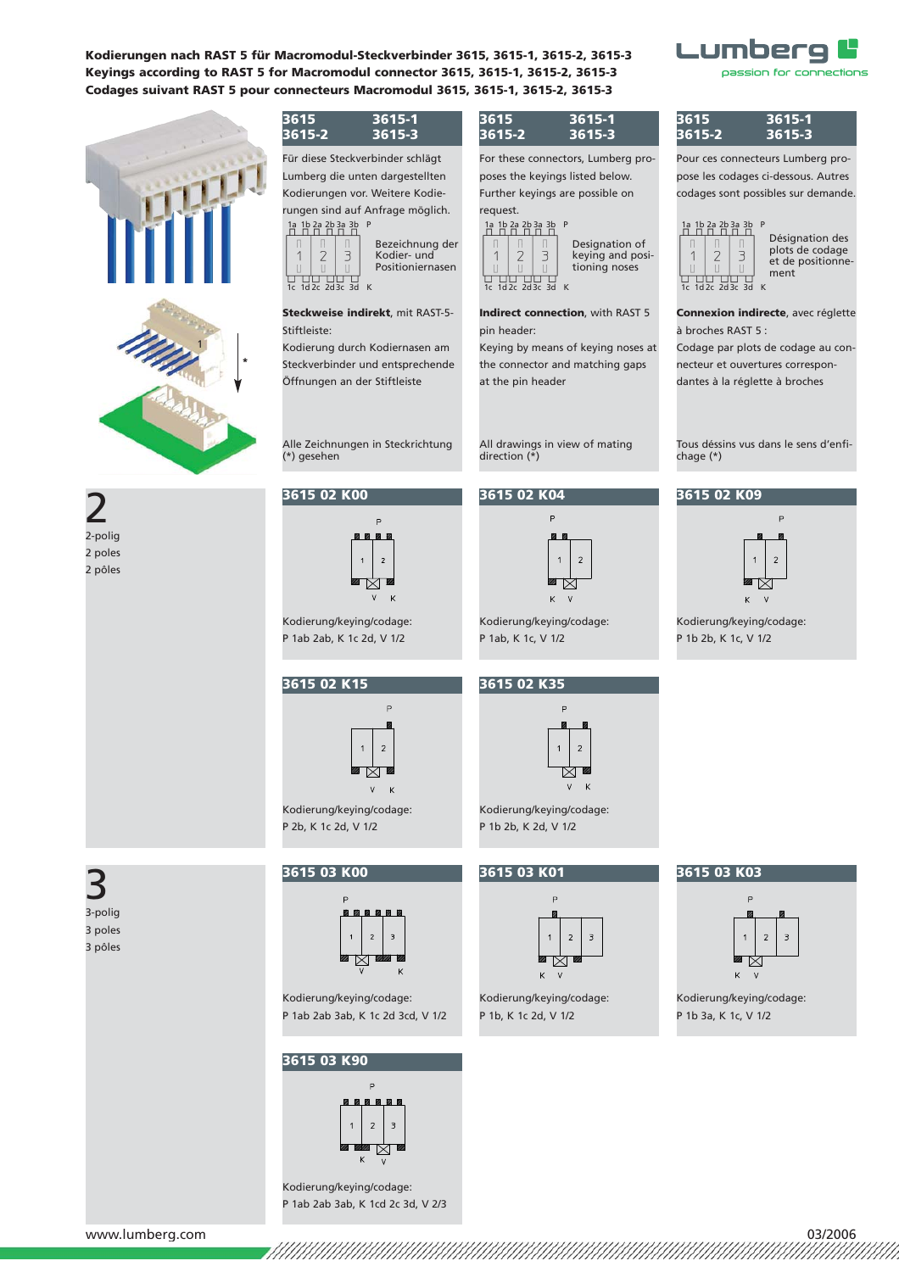



# 2 2-polig 2 poles 2 pôles

**3615 3615-1 3615-2 3615-3**

Für diese Steckverbinder schlägt Lumberg die unten dargestellten Kodierungen vor. Weitere Kodierun gen sind auf Anfrage möglich.  $1a$  1b 2a 2b 3a 3b



#### **Steckweise indirekt**, mit RAST-5- Stiftleiste:

Kodierung durch Kodiernasen am Steckverbinder und entsprechende Öffnungen an der Stiftleiste

Alle Zeichnungen in Steck richtung (\*) gesehen

#### **3615 02 K00**



Kodierung/keying/codage: P 1ab 2ab, K 1c 2d, V 1/2

### **3615 02 K15**



Kodierung/keying/codage: P 2b, K 1c 2d, V 1/2

3 3-polig 3 poles 3 pôles

### **3615 03 K00**



Kodierung/keying/codage: P 1ab 2ab 3ab, K 1c 2d 3cd, V 1/2

### **3615 03 K90**



Kodierung/keying/codage: P 1ab 2ab 3ab, K 1cd 2c 3d, V 2/3

### **3615 3615-1 3615-2 3615-3**

For these connectors, Lumberg proposes the keyings listed below. Further keyings are possible on request.

### 1a 1b 2a 2b 3a 3b



#### **Indirect connection**, with RAST 5 pin header:

Keying by means of keying noses at the connector and matching gaps at the pin header

All drawings in view of mating direction (\*)

### **3615 02 K04**



Kodierung/keying/codage: P 1ab, K 1c, V 1/2

## **3615 02 K35**



Kodierung/keying/codage: P 1b 2b, K 2d, V 1/2

### **3615 03 K01**



Kodierung/keying/codage: P 1b, K 1c 2d, V 1/2

### **3615 3615-1 3615-2 3615-3**

Lumberg

Pour ces connecteurs Lumberg propose les codages ci-dessous. Autres codages sont possibles sur demande.



Désignation des plots de codage et de positionnement

passion for connections

**Connexion indirecte**, avec réglette à broches RAST 5 :

Codage par plots de codage au connecteur et ouvertures correspondantes à la réglette à broches

Tous déssins vus dans le sens d'enfichage (\*)

### **3615 02 K09**



Kodierung/keying/codage: P 1b 2b, K 1c, V 1/2

#### **3615 03 K03**



Kodierung/keying/codage: P 1b 3a, K 1c, V 1/2